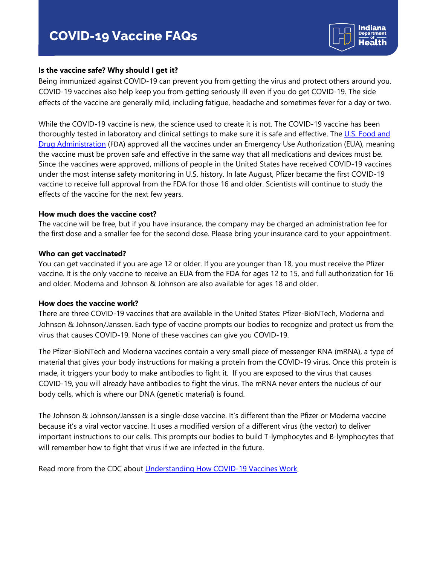

## **Is the vaccine safe? Why should I get it?**

Being immunized against COVID-19 can prevent you from getting the virus and protect others around you. COVID-19 vaccines also help keep you from getting seriously ill even if you do get COVID-19. The side effects of the vaccine are generally mild, including fatigue, headache and sometimes fever for a day or two.

While the COVID-19 vaccine is new, the science used to create it is not. The COVID-19 vaccine has been thoroughly tested in laboratory and clinical settings to make sure it is safe and effective. The U.S. Food and [Drug Administration](https://www.fda.gov/emergency-preparedness-and-response/coronavirus-disease-2019-covid-19/covid-19-vaccines) (FDA) approved all the vaccines under an Emergency Use Authorization (EUA), meaning the vaccine must be proven safe and effective in the same way that all medications and devices must be. Since the vaccines were approved, millions of people in the United States have received COVID-19 vaccines under the most intense safety monitoring in U.S. history. In late August, Pfizer became the first COVID-19 vaccine to receive full approval from the FDA for those 16 and older. Scientists will continue to study the effects of the vaccine for the next few years.

#### **How much does the vaccine cost?**

The vaccine will be free, but if you have insurance, the company may be charged an administration fee for the first dose and a smaller fee for the second dose. Please bring your insurance card to your appointment.

#### **Who can get vaccinated?**

You can get vaccinated if you are age 12 or older. If you are younger than 18, you must receive the Pfizer vaccine. It is the only vaccine to receive an EUA from the FDA for ages 12 to 15, and full authorization for 16 and older. Moderna and Johnson & Johnson are also available for ages 18 and older.

#### **How does the vaccine work?**

There are three COVID-19 vaccines that are available in the United States: Pfizer-BioNTech, Moderna and Johnson & Johnson/Janssen. Each type of vaccine prompts our bodies to recognize and protect us from the virus that causes COVID-19. None of these vaccines can give you COVID-19.

The Pfizer-BioNTech and Moderna vaccines contain a very small piece of messenger RNA (mRNA), a type of material that gives your body instructions for making a protein from the COVID-19 virus. Once this protein is made, it triggers your body to make antibodies to fight it. If you are exposed to the virus that causes COVID-19, you will already have antibodies to fight the virus. The mRNA never enters the nucleus of our body cells, which is where our DNA (genetic material) is found.

The Johnson & Johnson/Janssen is a single-dose vaccine. It's different than the Pfizer or Moderna vaccine because it's a viral vector vaccine. It uses a modified version of a different virus (the vector) to deliver important instructions to our cells. This prompts our bodies to build T-lymphocytes and B-lymphocytes that will remember how to fight that virus if we are infected in the future.

Read more from the CDC about Understanding How COVID-19 Vaccines Work.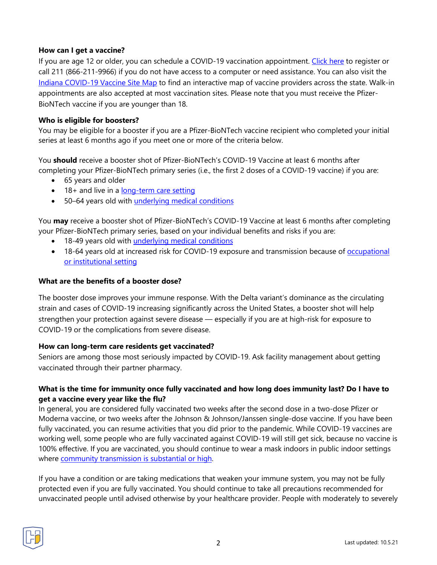## **How can I get a vaccine?**

If you are age 12 or older, you can schedule a COVID-19 vaccination appointment. [Click here](https://vaccine.coronavirus.in.gov/en-US/) to register or call 211 (866-211-9966) if you do not have access to a computer or need assistance. You can also visit the [Indiana COVID-19 Vaccine Site Map](https://experience.arcgis.com/experience/24159814f1dd4f69b6c22e7e87bca65b) to find an interactive map of vaccine providers across the state. Walk-in appointments are also accepted at most vaccination sites. Please note that you must receive the Pfizer-BioNTech vaccine if you are younger than 18.

## **Who is eligible for boosters?**

You may be eligible for a booster if you are a Pfizer-BioNTech vaccine recipient who completed your initial series at least 6 months ago if you meet one or more of the criteria below.

You **should** receive a booster shot of Pfizer-BioNTech's COVID-19 Vaccine at least 6 months after completing your Pfizer-BioNTech primary series (i.e., the first 2 doses of a COVID-19 vaccine) if you are:

- 65 years and older
- 18+ and live in a [long-term care setting](https://www.cdc.gov/coronavirus/2019-ncov/vaccines/booster-shot.html#long-term-care)
- 50–64 years old with [underlying medical conditions](https://www.cdc.gov/coronavirus/2019-ncov/need-extra-precautions/people-with-medical-conditions.html)

You **may** receive a booster shot of Pfizer-BioNTech's COVID-19 Vaccine at least 6 months after completing your Pfizer-BioNTech primary series, based on your individual benefits and risks if you are:

- 18-49 years old with [underlying medical conditions](https://www.cdc.gov/coronavirus/2019-ncov/need-extra-precautions/people-with-medical-conditions.html)
- 18-64 years old at increased risk for COVID-19 exposure and transmission because of [occupational](https://www.cdc.gov/coronavirus/2019-ncov/vaccines/booster-shot.html#HighRisk)  [or institutional setting](https://www.cdc.gov/coronavirus/2019-ncov/vaccines/booster-shot.html#HighRisk)

### **What are the benefits of a booster dose?**

The booster dose improves your immune response. With the Delta variant's dominance as the circulating strain and cases of COVID-19 increasing significantly across the United States, a booster shot will help strengthen your protection against severe disease — especially if you are at high-risk for exposure to COVID-19 or the complications from severe disease.

## **How can long-term care residents get vaccinated?**

Seniors are among those most seriously impacted by COVID-19. Ask facility management about getting vaccinated through their partner pharmacy.

# **What is the time for immunity once fully vaccinated and how long does immunity last? Do I have to get a vaccine every year like the flu?**

In general, you are considered fully vaccinated two weeks after the second dose in a two-dose Pfizer or Moderna vaccine, or two weeks after the Johnson & Johnson/Janssen single-dose vaccine. If you have been fully vaccinated, you can resume activities that you did prior to the pandemic. While COVID-19 vaccines are working well, some people who are fully vaccinated against COVID-19 will still get sick, because no vaccine is 100% effective. If you are vaccinated, you should continue to wear a mask indoors in public indoor settings where [community transmission is substantial or high.](https://covid.cdc.gov/covid-data-tracker/#county-view)

If you have a condition or are taking medications that weaken your immune system, you may not be fully protected even if you are fully vaccinated. You should continue to take all precautions recommended for unvaccinated people until advised otherwise by your healthcare provider. People with moderately to severely

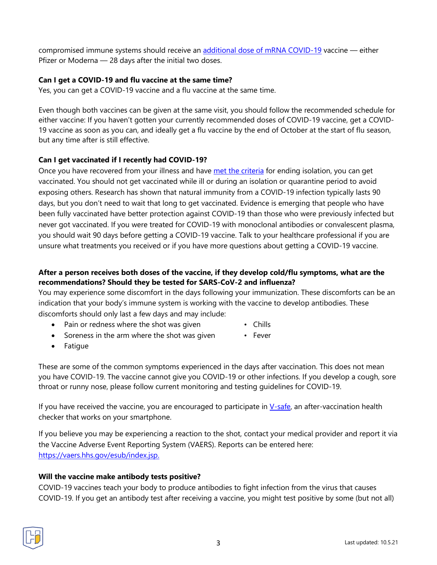compromised immune systems should receive an [additional dose of mRNA COVID-19](https://www.cdc.gov/coronavirus/2019-ncov/vaccines/recommendations/immuno.html) vaccine - either Pfizer or Moderna — 28 days after the initial two doses.

# **Can I get a COVID-19 and flu vaccine at the same time?**

Yes, you can get a COVID-19 vaccine and a flu vaccine at the same time.

Even though both vaccines can be given at the same visit, you should follow the recommended schedule for either vaccine: If you haven't gotten your currently recommended doses of COVID-19 vaccine, get a COVID-19 vaccine as soon as you can, and ideally get a flu vaccine by the end of October at the start of flu season, but any time after is still effective.

## **Can I get vaccinated if I recently had COVID-19?**

Once you have recovered from your illness and have [met the criteria](https://www.cdc.gov/coronavirus/2019-ncov/your-health/quarantine-isolation.html#isolation) for ending isolation, you can get vaccinated. You should not get vaccinated while ill or during an isolation or quarantine period to avoid exposing others. Research has shown that natural immunity from a COVID-19 infection typically lasts 90 days, but you don't need to wait that long to get vaccinated. Evidence is emerging that people who have been fully vaccinated have better protection against COVID-19 than those who were previously infected but never got vaccinated. If you were treated for COVID-19 with monoclonal antibodies or convalescent plasma, you should wait 90 days before getting a COVID-19 vaccine. Talk to your healthcare professional if you are unsure what treatments you received or if you have more questions about getting a COVID-19 vaccine.

# **After a person receives both doses of the vaccine, if they develop cold/flu symptoms, what are the recommendations? Should they be tested for SARS-CoV-2 and influenza?**

You may experience some discomfort in the days following your immunization. These discomforts can be an indication that your body's immune system is working with the vaccine to develop antibodies. These discomforts should only last a few days and may include:

- Pain or redness where the shot was given Chills
	-
- Soreness in the arm where the shot was given Fever
- 

• Fatigue

These are some of the common symptoms experienced in the days after vaccination. This does not mean you have COVID-19. The vaccine cannot give you COVID-19 or other infections. If you develop a cough, sore throat or runny nose, please follow current monitoring and testing guidelines for COVID-19.

If you have received the vaccine, you are encouraged to participate in  $V$ -safe, an after-vaccination health checker that works on your smartphone.

If you believe you may be experiencing a reaction to the shot, contact your medical provider and report it via the Vaccine Adverse Event Reporting System (VAERS). Reports can be entered here: [https://vaers.hhs.gov/esub/index.jsp.](https://vaers.hhs.gov/esub/index.jsp)

# **Will the vaccine make antibody tests positive?**

COVID-19 vaccines teach your body to produce antibodies to fight infection from the virus that causes COVID-19. If you get an antibody test after receiving a vaccine, you might test positive by some (but not all)

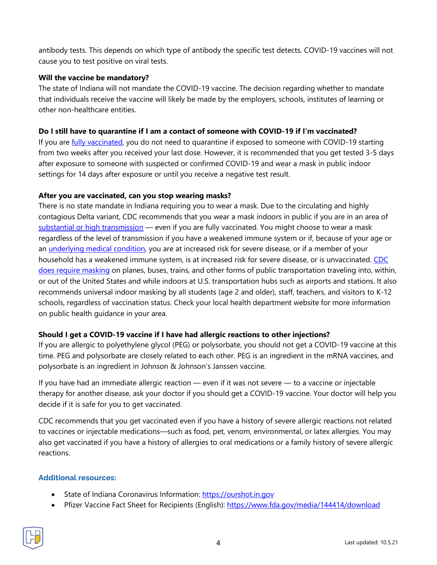antibody tests. This depends on which type of antibody the specific test detects. COVID-19 vaccines will not cause you to test positive on viral tests.

# **Will the vaccine be mandatory?**

The state of Indiana will not mandate the COVID-19 vaccine. The decision regarding whether to mandate that individuals receive the vaccine will likely be made by the employers, schools, institutes of learning or other non-healthcare entities.

## **Do I still have to quarantine if I am a contact of someone with COVID-19 if I'm vaccinated?**

If you are *fully vaccinated*, you do not need to quarantine if exposed to someone with COVID-19 starting from two weeks after you received your last dose. However, it is recommended that you get tested 3-5 days after exposure to someone with suspected or confirmed COVID-19 and wear a mask in public indoor settings for 14 days after exposure or until you receive a negative test result.

# **After you are vaccinated, can you stop wearing masks?**

There is no state mandate in Indiana requiring you to wear a mask. Due to the circulating and highly contagious Delta variant, CDC recommends that you wear a mask indoors in public if you are in an area of [substantial or high transmission](https://covid.cdc.gov/covid-data-tracker/#county-view) — even if you are fully vaccinated. You might choose to wear a mask regardless of the level of transmission if you have a weakened immune system or if, because of your age or an [underlying medical condition,](https://www.cdc.gov/coronavirus/2019-ncov/need-extra-precautions/people-with-medical-conditions.html) you are at increased risk for severe disease, or if a member of your household has a weakened immune system, is at increased risk for severe disease, or is unvaccinated. CDC [does require masking](https://www.cdc.gov/coronavirus/2019-ncov/travelers/face-masks-public-transportation.html) on planes, buses, trains, and other forms of public transportation traveling into, within, or out of the United States and while indoors at U.S. transportation hubs such as airports and stations. It also recommends universal indoor masking by all students (age 2 and older), staff, teachers, and visitors to K-12 schools, regardless of vaccination status. Check your local health department website for more information on public health guidance in your area.

# **Should I get a COVID-19 vaccine if I have had allergic reactions to other injections?**

If you are allergic to polyethylene glycol (PEG) or polysorbate, you should not get a COVID-19 vaccine at this time. PEG and polysorbate are closely related to each other. PEG is an ingredient in the mRNA vaccines, and polysorbate is an ingredient in Johnson & Johnson's Janssen vaccine.

If you have had an immediate allergic reaction — even if it was not severe — to a vaccine or injectable therapy for another disease, ask your doctor if you should get a COVID-19 vaccine. Your doctor will help you decide if it is safe for you to get vaccinated.

CDC recommends that you get vaccinated even if you have a history of severe allergic reactions not related to vaccines or injectable medications—such as food, pet, venom, environmental, or latex allergies. You may also get vaccinated if you have a history of allergies to oral medications or a family history of severe allergic reactions.

## **Additional resources:**

- State of Indiana Coronavirus Information: [https://ourshot.in.gov](https://ourshot.in.gov/)
- Pfizer Vaccine Fact Sheet for Recipients (English): <https://www.fda.gov/media/144414/download>